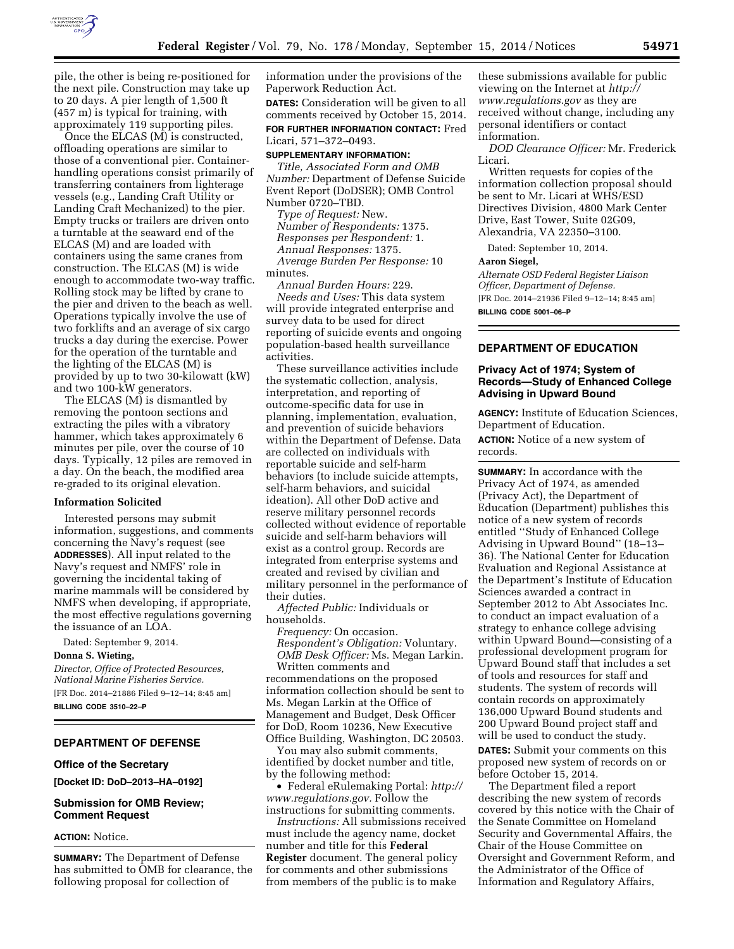

pile, the other is being re-positioned for the next pile. Construction may take up to 20 days. A pier length of 1,500 ft (457 m) is typical for training, with approximately 119 supporting piles.

Once the ELCAS (M) is constructed, offloading operations are similar to those of a conventional pier. Containerhandling operations consist primarily of transferring containers from lighterage vessels (e.g., Landing Craft Utility or Landing Craft Mechanized) to the pier. Empty trucks or trailers are driven onto a turntable at the seaward end of the ELCAS (M) and are loaded with containers using the same cranes from construction. The ELCAS (M) is wide enough to accommodate two-way traffic. Rolling stock may be lifted by crane to the pier and driven to the beach as well. Operations typically involve the use of two forklifts and an average of six cargo trucks a day during the exercise. Power for the operation of the turntable and the lighting of the ELCAS (M) is provided by up to two 30-kilowatt (kW) and two 100-kW generators.

The ELCAS (M) is dismantled by removing the pontoon sections and extracting the piles with a vibratory hammer, which takes approximately 6 minutes per pile, over the course of 10 days. Typically, 12 piles are removed in a day. On the beach, the modified area re-graded to its original elevation.

### **Information Solicited**

Interested persons may submit information, suggestions, and comments concerning the Navy's request (see **ADDRESSES**). All input related to the Navy's request and NMFS' role in governing the incidental taking of marine mammals will be considered by NMFS when developing, if appropriate, the most effective regulations governing the issuance of an LOA.

Dated: September 9, 2014. **Donna S. Wieting,**  *Director, Office of Protected Resources, National Marine Fisheries Service.* 

[FR Doc. 2014–21886 Filed 9–12–14; 8:45 am] **BILLING CODE 3510–22–P** 

# **DEPARTMENT OF DEFENSE**

### **Office of the Secretary**

**[Docket ID: DoD–2013–HA–0192]** 

# **Submission for OMB Review; Comment Request**

### **ACTION:** Notice.

**SUMMARY:** The Department of Defense has submitted to OMB for clearance, the following proposal for collection of

information under the provisions of the Paperwork Reduction Act.

**DATES:** Consideration will be given to all comments received by October 15, 2014. **FOR FURTHER INFORMATION CONTACT:** Fred Licari, 571–372–0493.

### **SUPPLEMENTARY INFORMATION:**

*Title, Associated Form and OMB Number:* Department of Defense Suicide Event Report (DoDSER); OMB Control Number 0720–TBD.

*Type of Request:* New. *Number of Respondents:* 1375. *Responses per Respondent:* 1. *Annual Responses:* 1375. *Average Burden Per Response:* 10 minutes.

*Annual Burden Hours:* 229. *Needs and Uses:* This data system will provide integrated enterprise and survey data to be used for direct reporting of suicide events and ongoing population-based health surveillance activities.

These surveillance activities include the systematic collection, analysis, interpretation, and reporting of outcome-specific data for use in planning, implementation, evaluation, and prevention of suicide behaviors within the Department of Defense. Data are collected on individuals with reportable suicide and self-harm behaviors (to include suicide attempts, self-harm behaviors, and suicidal ideation). All other DoD active and reserve military personnel records collected without evidence of reportable suicide and self-harm behaviors will exist as a control group. Records are integrated from enterprise systems and created and revised by civilian and military personnel in the performance of their duties.

*Affected Public:* Individuals or households.

*Frequency:* On occasion. *Respondent's Obligation:* Voluntary. *OMB Desk Officer:* Ms. Megan Larkin. Written comments and

recommendations on the proposed information collection should be sent to Ms. Megan Larkin at the Office of Management and Budget, Desk Officer for DoD, Room 10236, New Executive Office Building, Washington, DC 20503.

You may also submit comments, identified by docket number and title, by the following method:

• Federal eRulemaking Portal: *[http://](http://www.regulations.gov) [www.regulations.gov.](http://www.regulations.gov)* Follow the instructions for submitting comments.

*Instructions:* All submissions received must include the agency name, docket number and title for this **Federal Register** document. The general policy for comments and other submissions from members of the public is to make

these submissions available for public viewing on the Internet at *[http://](http://www.regulations.gov) [www.regulations.gov](http://www.regulations.gov)* as they are received without change, including any personal identifiers or contact information.

*DOD Clearance Officer:* Mr. Frederick Licari.

Written requests for copies of the information collection proposal should be sent to Mr. Licari at WHS/ESD Directives Division, 4800 Mark Center Drive, East Tower, Suite 02G09, Alexandria, VA 22350–3100.

Dated: September 10, 2014.

## **Aaron Siegel,**

*Alternate OSD Federal Register Liaison Officer, Department of Defense.*  [FR Doc. 2014–21936 Filed 9–12–14; 8:45 am] **BILLING CODE 5001–06–P** 

# **DEPARTMENT OF EDUCATION**

# **Privacy Act of 1974; System of Records—Study of Enhanced College Advising in Upward Bound**

**AGENCY:** Institute of Education Sciences, Department of Education.

**ACTION:** Notice of a new system of records.

**SUMMARY:** In accordance with the Privacy Act of 1974, as amended (Privacy Act), the Department of Education (Department) publishes this notice of a new system of records entitled ''Study of Enhanced College Advising in Upward Bound'' (18–13– 36). The National Center for Education Evaluation and Regional Assistance at the Department's Institute of Education Sciences awarded a contract in September 2012 to Abt Associates Inc. to conduct an impact evaluation of a strategy to enhance college advising within Upward Bound—consisting of a professional development program for Upward Bound staff that includes a set of tools and resources for staff and students. The system of records will contain records on approximately 136,000 Upward Bound students and 200 Upward Bound project staff and will be used to conduct the study.

**DATES:** Submit your comments on this proposed new system of records on or before October 15, 2014.

The Department filed a report describing the new system of records covered by this notice with the Chair of the Senate Committee on Homeland Security and Governmental Affairs, the Chair of the House Committee on Oversight and Government Reform, and the Administrator of the Office of Information and Regulatory Affairs,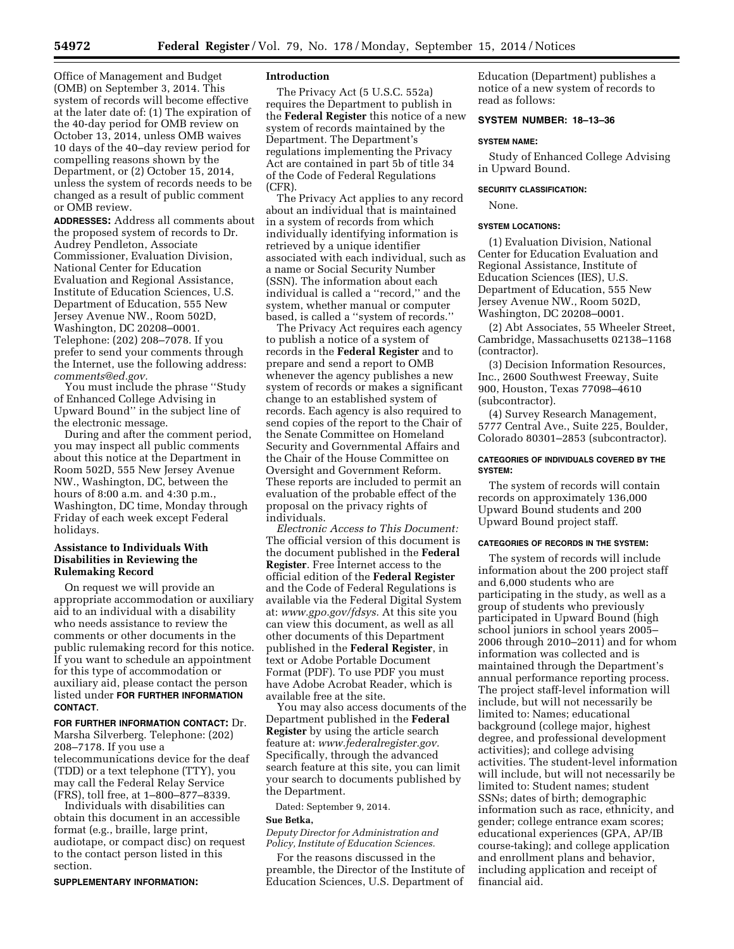Office of Management and Budget (OMB) on September 3, 2014. This system of records will become effective at the later date of: (1) The expiration of the 40-day period for OMB review on October 13, 2014, unless OMB waives 10 days of the 40–day review period for compelling reasons shown by the Department, or (2) October 15, 2014, unless the system of records needs to be changed as a result of public comment or OMB review.

**ADDRESSES:** Address all comments about the proposed system of records to Dr. Audrey Pendleton, Associate Commissioner, Evaluation Division, National Center for Education Evaluation and Regional Assistance, Institute of Education Sciences, U.S. Department of Education, 555 New Jersey Avenue NW., Room 502D, Washington, DC 20208–0001. Telephone: (202) 208–7078. If you prefer to send your comments through the Internet, use the following address: *[comments@ed.gov.](mailto:comments@ed.gov)* 

You must include the phrase ''Study of Enhanced College Advising in Upward Bound'' in the subject line of the electronic message.

During and after the comment period, you may inspect all public comments about this notice at the Department in Room 502D, 555 New Jersey Avenue NW., Washington, DC, between the hours of 8:00 a.m. and 4:30 p.m., Washington, DC time, Monday through Friday of each week except Federal holidays.

# **Assistance to Individuals With Disabilities in Reviewing the Rulemaking Record**

On request we will provide an appropriate accommodation or auxiliary aid to an individual with a disability who needs assistance to review the comments or other documents in the public rulemaking record for this notice. If you want to schedule an appointment for this type of accommodation or auxiliary aid, please contact the person listed under **FOR FURTHER INFORMATION CONTACT**.

### **FOR FURTHER INFORMATION CONTACT:** Dr.

Marsha Silverberg. Telephone: (202) 208–7178. If you use a telecommunications device for the deaf (TDD) or a text telephone (TTY), you may call the Federal Relay Service (FRS), toll free, at 1–800–877–8339.

Individuals with disabilities can obtain this document in an accessible format (e.g., braille, large print, audiotape, or compact disc) on request to the contact person listed in this section.

#### **SUPPLEMENTARY INFORMATION:**

## **Introduction**

The Privacy Act (5 U.S.C. 552a) requires the Department to publish in the **Federal Register** this notice of a new system of records maintained by the Department. The Department's regulations implementing the Privacy Act are contained in part 5b of title 34 of the Code of Federal Regulations (CFR).

The Privacy Act applies to any record about an individual that is maintained in a system of records from which individually identifying information is retrieved by a unique identifier associated with each individual, such as a name or Social Security Number (SSN). The information about each individual is called a ''record,'' and the system, whether manual or computer based, is called a ''system of records.''

The Privacy Act requires each agency to publish a notice of a system of records in the **Federal Register** and to prepare and send a report to OMB whenever the agency publishes a new system of records or makes a significant change to an established system of records. Each agency is also required to send copies of the report to the Chair of the Senate Committee on Homeland Security and Governmental Affairs and the Chair of the House Committee on Oversight and Government Reform. These reports are included to permit an evaluation of the probable effect of the proposal on the privacy rights of individuals.

*Electronic Access to This Document:*  The official version of this document is the document published in the **Federal Register**. Free Internet access to the official edition of the **Federal Register**  and the Code of Federal Regulations is available via the Federal Digital System at: *[www.gpo.gov/fdsys.](http://www.gpo.gov/fdsys)* At this site you can view this document, as well as all other documents of this Department published in the **Federal Register**, in text or Adobe Portable Document Format (PDF). To use PDF you must have Adobe Acrobat Reader, which is available free at the site.

You may also access documents of the Department published in the **Federal Register** by using the article search feature at: *[www.federalregister.gov.](http://www.federalregister.gov)*  Specifically, through the advanced search feature at this site, you can limit your search to documents published by the Department.

Dated: September 9, 2014.

#### **Sue Betka,**

*Deputy Director for Administration and Policy, Institute of Education Sciences.* 

For the reasons discussed in the preamble, the Director of the Institute of Education Sciences, U.S. Department of

Education (Department) publishes a notice of a new system of records to read as follows:

### **SYSTEM NUMBER: 18–13–36**

#### **SYSTEM NAME:**

Study of Enhanced College Advising in Upward Bound.

## **SECURITY CLASSIFICATION:**

None.

#### **SYSTEM LOCATIONS:**

(1) Evaluation Division, National Center for Education Evaluation and Regional Assistance, Institute of Education Sciences (IES), U.S. Department of Education, 555 New Jersey Avenue NW., Room 502D, Washington, DC 20208–0001.

(2) Abt Associates, 55 Wheeler Street, Cambridge, Massachusetts 02138–1168 (contractor).

(3) Decision Information Resources, Inc., 2600 Southwest Freeway, Suite 900, Houston, Texas 77098–4610 (subcontractor).

(4) Survey Research Management, 5777 Central Ave., Suite 225, Boulder, Colorado 80301–2853 (subcontractor).

### **CATEGORIES OF INDIVIDUALS COVERED BY THE SYSTEM:**

The system of records will contain records on approximately 136,000 Upward Bound students and 200 Upward Bound project staff.

#### **CATEGORIES OF RECORDS IN THE SYSTEM:**

The system of records will include information about the 200 project staff and 6,000 students who are participating in the study, as well as a group of students who previously participated in Upward Bound (high school juniors in school years 2005– 2006 through 2010–2011) and for whom information was collected and is maintained through the Department's annual performance reporting process. The project staff-level information will include, but will not necessarily be limited to: Names; educational background (college major, highest degree, and professional development activities); and college advising activities. The student-level information will include, but will not necessarily be limited to: Student names; student SSNs; dates of birth; demographic information such as race, ethnicity, and gender; college entrance exam scores; educational experiences (GPA, AP/IB course-taking); and college application and enrollment plans and behavior, including application and receipt of financial aid.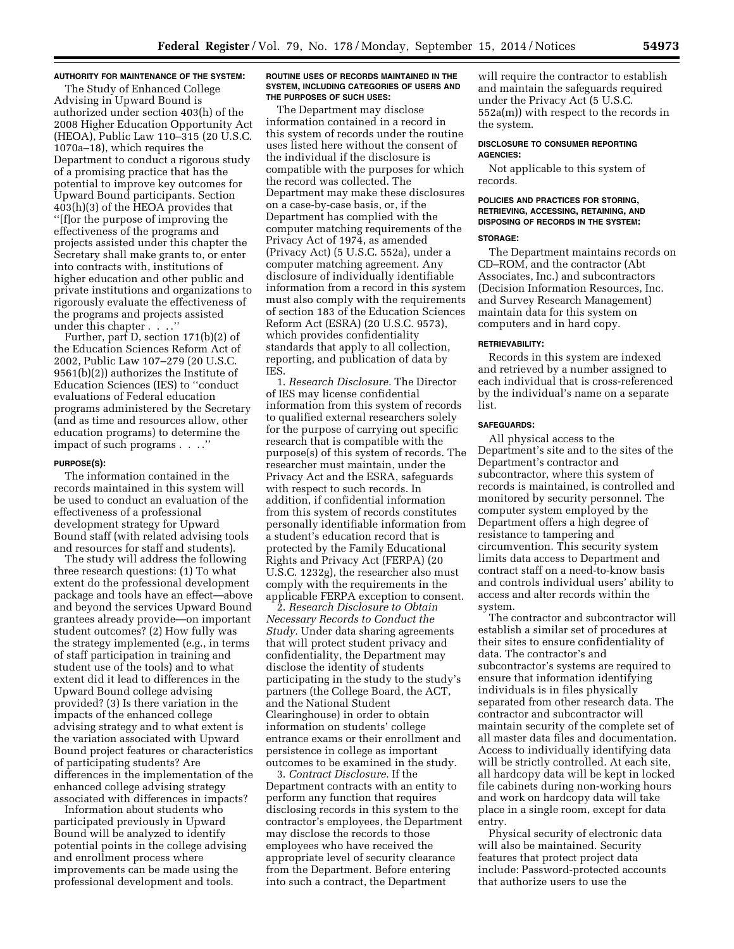### **AUTHORITY FOR MAINTENANCE OF THE SYSTEM:**

The Study of Enhanced College Advising in Upward Bound is authorized under section 403(h) of the 2008 Higher Education Opportunity Act (HEOA), Public Law 110–315 (20 U.S.C. 1070a–18), which requires the Department to conduct a rigorous study of a promising practice that has the potential to improve key outcomes for Upward Bound participants. Section 403(h)(3) of the HEOA provides that ''[f]or the purpose of improving the effectiveness of the programs and projects assisted under this chapter the Secretary shall make grants to, or enter into contracts with, institutions of higher education and other public and private institutions and organizations to rigorously evaluate the effectiveness of the programs and projects assisted under this chapter . . . .''

Further, part D, section 171(b)(2) of the Education Sciences Reform Act of 2002, Public Law 107–279 (20 U.S.C. 9561(b)(2)) authorizes the Institute of Education Sciences (IES) to ''conduct evaluations of Federal education programs administered by the Secretary (and as time and resources allow, other education programs) to determine the impact of such programs . . . .''

#### **PURPOSE(S):**

The information contained in the records maintained in this system will be used to conduct an evaluation of the effectiveness of a professional development strategy for Upward Bound staff (with related advising tools and resources for staff and students).

The study will address the following three research questions: (1) To what extent do the professional development package and tools have an effect—above and beyond the services Upward Bound grantees already provide—on important student outcomes? (2) How fully was the strategy implemented (e.g., in terms of staff participation in training and student use of the tools) and to what extent did it lead to differences in the Upward Bound college advising provided? (3) Is there variation in the impacts of the enhanced college advising strategy and to what extent is the variation associated with Upward Bound project features or characteristics of participating students? Are differences in the implementation of the enhanced college advising strategy associated with differences in impacts?

Information about students who participated previously in Upward Bound will be analyzed to identify potential points in the college advising and enrollment process where improvements can be made using the professional development and tools.

### **ROUTINE USES OF RECORDS MAINTAINED IN THE SYSTEM, INCLUDING CATEGORIES OF USERS AND THE PURPOSES OF SUCH USES:**

The Department may disclose information contained in a record in this system of records under the routine uses listed here without the consent of the individual if the disclosure is compatible with the purposes for which the record was collected. The Department may make these disclosures on a case-by-case basis, or, if the Department has complied with the computer matching requirements of the Privacy Act of 1974, as amended (Privacy Act) (5 U.S.C. 552a), under a computer matching agreement. Any disclosure of individually identifiable information from a record in this system must also comply with the requirements of section 183 of the Education Sciences Reform Act (ESRA) (20 U.S.C. 9573), which provides confidentiality standards that apply to all collection, reporting, and publication of data by IES.

1. *Research Disclosure.* The Director of IES may license confidential information from this system of records to qualified external researchers solely for the purpose of carrying out specific research that is compatible with the purpose(s) of this system of records. The researcher must maintain, under the Privacy Act and the ESRA, safeguards with respect to such records. In addition, if confidential information from this system of records constitutes personally identifiable information from a student's education record that is protected by the Family Educational Rights and Privacy Act (FERPA) (20 U.S.C. 1232g), the researcher also must comply with the requirements in the applicable FERPA exception to consent.

2. *Research Disclosure to Obtain Necessary Records to Conduct the Study.* Under data sharing agreements that will protect student privacy and confidentiality, the Department may disclose the identity of students participating in the study to the study's partners (the College Board, the ACT, and the National Student Clearinghouse) in order to obtain information on students' college entrance exams or their enrollment and persistence in college as important outcomes to be examined in the study.

3. *Contract Disclosure.* If the Department contracts with an entity to perform any function that requires disclosing records in this system to the contractor's employees, the Department may disclose the records to those employees who have received the appropriate level of security clearance from the Department. Before entering into such a contract, the Department

will require the contractor to establish and maintain the safeguards required under the Privacy Act (5 U.S.C. 552a(m)) with respect to the records in the system.

### **DISCLOSURE TO CONSUMER REPORTING AGENCIES:**

Not applicable to this system of records.

## **POLICIES AND PRACTICES FOR STORING, RETRIEVING, ACCESSING, RETAINING, AND DISPOSING OF RECORDS IN THE SYSTEM:**

#### **STORAGE:**

The Department maintains records on CD–ROM, and the contractor (Abt Associates, Inc.) and subcontractors (Decision Information Resources, Inc. and Survey Research Management) maintain data for this system on computers and in hard copy.

#### **RETRIEVABILITY:**

Records in this system are indexed and retrieved by a number assigned to each individual that is cross-referenced by the individual's name on a separate list.

# **SAFEGUARDS:**

All physical access to the Department's site and to the sites of the Department's contractor and subcontractor, where this system of records is maintained, is controlled and monitored by security personnel. The computer system employed by the Department offers a high degree of resistance to tampering and circumvention. This security system limits data access to Department and contract staff on a need-to-know basis and controls individual users' ability to access and alter records within the system.

The contractor and subcontractor will establish a similar set of procedures at their sites to ensure confidentiality of data. The contractor's and subcontractor's systems are required to ensure that information identifying individuals is in files physically separated from other research data. The contractor and subcontractor will maintain security of the complete set of all master data files and documentation. Access to individually identifying data will be strictly controlled. At each site, all hardcopy data will be kept in locked file cabinets during non-working hours and work on hardcopy data will take place in a single room, except for data entry.

Physical security of electronic data will also be maintained. Security features that protect project data include: Password-protected accounts that authorize users to use the